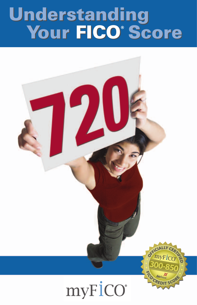## **Understanding** *Your FICO<sup>®</sup> Score* **Understanding Mour FICO®** Score

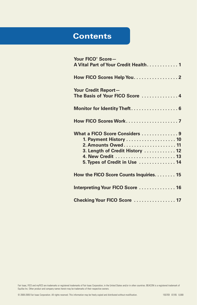## **Contents**

| Your FICO <sup>®</sup> Score-<br>A Vital Part of Your Credit Health 1                                                                                                  |
|------------------------------------------------------------------------------------------------------------------------------------------------------------------------|
| How FICO Scores Help You. 2                                                                                                                                            |
| Your Credit Report-<br>The Basis of Your FICO Score  4                                                                                                                 |
| Monitor for Identity Theft 6                                                                                                                                           |
|                                                                                                                                                                        |
| What a FICO Score Considers  9<br>1. Payment History 10<br>2. Amounts Owed 11<br>3. Length of Credit History  12<br>4. New Credit  13<br>5. Types of Credit in Use  14 |
| How the FICO Score Counts Inquiries. 15                                                                                                                                |
| Interpreting Your FICO Score  16                                                                                                                                       |
| Checking Your FICO Score  17                                                                                                                                           |

Fair Isaac, FICO and myFICO are trademarks or registered trademarks of Fair Isaac Corporation, in the United States and/or in other countries. BEACON is a registered trademark of<br>Equifax Inc. Other product and company name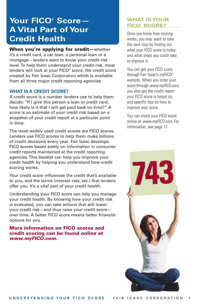## **Your FICO® Score— A Vital Part of Your Credit Health**

### **When you're applying for credit—**whether

it's a credit card, a car loan, a personal loan or a mortgage—lenders want to know your credit risk level. To help them understand your credit risk, most lenders will look at your FICO® score, the credit score created by Fair Isaac Corporation which is available from all three major credit reporting agencies.

### **WHAT IS A CREDIT SCORE?**

A credit score is a number lenders use to help them decide: "If I give this person a loan or credit card, how likely is it that I will get paid back on time?" A score is an estimate of your credit risk based on a snapshot of your credit report at a particular point in time.

The most widely used credit scores are FICO scores. Lenders use FICO scores to help them make billions of credit decisions every year. Fair Isaac develops FICO scores based solely on information in consumer credit reports maintained at the credit reporting agencies. This booklet can help you improve your credit health by helping you understand how credit scoring works.

Your credit score influences the credit that's available to you, and the terms (interest rate, etc.) that lenders offer you. It's a vital part of your credit health.

Understanding your FICO score can help you manage your credit health. By knowing how your credit risk is evaluated, you can take actions that will lower your credit risk—and thus raise your credit score over time. A better FICO score means better financial options for you.

### **More information on FICO scores and credit scoring can be found online at www.myFICO.com.**

### **WHAT IS YOUR FICO® SCORE?**

Once you know how scoring works, you may want to take the next step by finding out what your FICO score is today. and what steps you could take to improve it.

You can get your FICO score through Fair Isaac's myFICO® website. When you order your score through www.myFICO.com. you also get the credit report your FICO score is based on, and specific tips on how to improve your score.

You can check your FICO score online at www.myFICO.com. For information, see page 17.

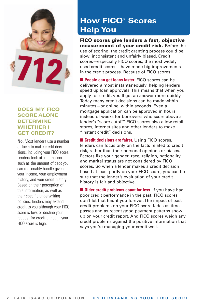

### **DOES MY FICO SCORE ALONE DETERMINE WHETHER I GET CREDIT?**

**No.** Most lenders use a number of facts to make credit decisions, including your FICO score. Lenders look at information such as the amount of debt you can reasonably handle given your income, your employment history, and your credit history. Based on their perception of this information, as well as their specific underwriting policies, lenders may extend credit to you although your FICO score is low, or decline your request for credit although your FICO score is high.

## **How FICO® Scores Help You**

**FICO scores give lenders a fast, objective measurement of your credit risk.** Before the use of scoring, the credit granting process could be slow, inconsistent and unfairly biased. Credit scores—especially FICO scores, the most widely used credit scores—have made big improvements in the credit process. Because of FICO scores:

■ **People can get loans faster.** FICO scores can be delivered almost instantaneously, helping lenders speed up loan approvals. This means that when you apply for credit, you'll get an answer more quickly. Today many credit decisions can be made within minutes—or online, within seconds. Even a mortgage application can be approved in hours instead of weeks for borrowers who score above a lender's "score cutoff." FICO scores also allow retail stores, internet sites and other lenders to make "instant credit" decisions.

■ **Credit decisions are fairer.** Using FICO scores, lenders can focus only on the facts related to credit risk, rather than their personal opinions or biases. Factors like your gender, race, religion, nationality and marital status are not considered by FICO scores. So when a lender makes a credit decision based at least partly on your FICO score, you can be sure that the lender's evaluation of your credit history is fair and objective.

■ **Older credit problems count for less**. If you have had poor credit performance in the past, FICO scores don't let that haunt you forever. The impact of past credit problems on your FICO score fades as time passes and as recent good payment patterns show up on your credit report. And FICO scores weigh any credit problems against the positive information that says you're managing your credit well.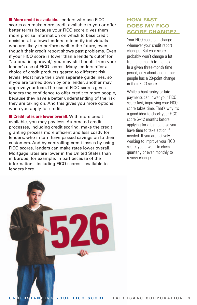■ **More credit is available.** Lenders who use FICO scores can make more credit available to you or offer better terms because your FICO score gives them more precise information on which to base credit decisions. It allows lenders to identify individuals who are likely to perform well in the future, even though their credit report shows past problems. Even if your FICO score is lower than a lender's cutoff for "automatic approval," you may still benefit from your lender's use of FICO scores. Many lenders offer a choice of credit products geared to different risk levels. Most have their own separate guidelines, so if you are turned down by one lender, another may approve your loan. The use of FICO scores gives lenders the confidence to offer credit to more people, because they have a better understanding of the risk they are taking on. And this gives you more options when you apply for credit.

■ **Credit rates are lower overall.** With more credit available, you may pay less. Automated credit processes, including credit scoring, make the credit granting process more efficient and less costly for lenders, who in turn have passed savings on to their customers. And by controlling credit losses by using FICO scores, lenders can make rates lower overall. Mortgage rates are lower in the United States than in Europe, for example, in part because of the information—including FICO scores—available to lenders here.

### **HOW FAST DOES MY FICO SCORE CHANGE?**

Your FICO score can change whenever your credit report changes. But your score probably won't change a lot from one month to the next. In a given three-month time period, only about one in four people has a 20-point change in their FICO score.

While a bankruptcy or late payments can lower your FICO score fast, improving your FICO score takes time. That's why it's a good idea to check your FICO score 6–12 months before applying for a big loan, so you have time to take action if needed. If you are actively working to improve your FICO score, you'd want to check it quarterly or even monthly to review changes.

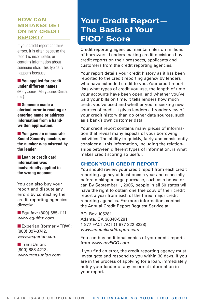### **HOW CAN MISTAKES GET ON MY CREDIT REPORT?**

If your credit report contains errors, it is often because the report is incomplete, or contains information about someone else. This typically happens because:

■ **You applied for credit under different names** (Mary Jones, Mary Jones-Smith, etc.).

■ **Someone made a clerical error in reading or entering name or address information from a handwritten application.**

■ You gave an inaccurate **Social Security number, or the number was misread by the lender.**

■ **Loan or credit card information was inadvertently applied to the wrong account.**

You can also buy your report and dispute any errors by contacting the credit reporting agencies directly:

■ Equifax: (800) 685-1111, www.equifax.com

■ Experian (formerly TRW): (888) 397-3742, www.experian.com

■ TransUnion: (800) 888-4213, www.transunion.com

## **Your Credit Report— The Basis of Your FICO® Score**

Credit reporting agencies maintain files on millions of borrowers. Lenders making credit decisions buy credit reports on their prospects, applicants and customers from the credit reporting agencies.

Your report details your credit history as it has been reported to the credit reporting agency by lenders who have extended credit to you. Your credit report lists what types of credit you use, the length of time your accounts have been open, and whether you've paid your bills on time. It tells lenders how much credit you've used and whether you're seeking new sources of credit. It gives lenders a broader view of your credit history than do other data sources, such as a bank's own customer data.

Your credit report contains many pieces of information that reveal many aspects of your borrowing activities. The ability to quickly, fairly and consistently consider all this information, including the relationships between different types of information, is what makes credit scoring so useful.

### **CHECK YOUR CREDIT REPORT**

You should review your credit report from each credit reporting agency at least once a year and especially before making a large purchase, such as a house or car. By September 1, 2005, people in all 50 states will have the right to obtain one free copy of their credit report a year from each of the three major credit reporting agencies. For more information, contact the Annual Credit Report Request Service at:

P.O. Box 105281 Atlanta, GA 30348-5281 1 877 FACT ACT (1 877 322 8228) www.annualcreditreport.com

You can buy additional copies of your credit reports from www.myFICO.com.

If you find an error, the credit reporting agency must investigate and respond to you within 30 days. If you are in the process of applying for a loan, immediately notify your lender of any incorrect information in your report.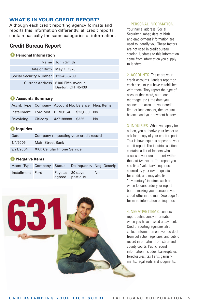### **WHAT'S IN YOUR CREDIT REPORT?**

Although each credit reporting agency formats and reports this information differently, all credit reports contain basically the same categories of information.

### **Credit Bureau Report**

### **Personal Information**

|                                    | Name John Smith                                       |
|------------------------------------|-------------------------------------------------------|
| Date of Birth May 1, 1970          |                                                       |
| Social Security Number 123-45-6789 |                                                       |
|                                    | Current Address 6100 Fifth Avenue<br>Dayton, OH 45439 |

### **Accounts Summary 2**

| Accnt. Type Company Account No. Balance Neg. Items |  |           |
|----------------------------------------------------|--|-----------|
| Installment Ford Mot. BFM915X \$23,000 No          |  |           |
| Revolving Citicorp 427188888 \$325                 |  | <b>No</b> |

### **3** Inquiries

| Date      | Company requesting your credit record |
|-----------|---------------------------------------|
| 1/4/2005  | Main Street Bank                      |
| 9/21/2004 | <b>XKK Cellular Phone Service</b>     |

### **Negative Items 4**

| Accnt. Type Company Status |                 |                 | Delinguency Neg. Descrip. |
|----------------------------|-----------------|-----------------|---------------------------|
| Installment Ford           | Pays as 30 days | agreed past due | No.                       |

#### 1. PERSONAL INFORMATION.

Your name, address, Social Security number, date of birth and employment information are used to identify you. These factors are not used in credit bureau scoring. Updates to this information come from information you supply to lenders.

2. ACCOUNTS. These are your credit accounts. Lenders report on each account you have established with them. They report the type of account (bankcard, auto loan, mortgage, etc.), the date you opened the account, your credit limit or loan amount, the account balance and your payment history.

3. INQUIRIES. When you apply for a loan, you authorize your lender to ask for a copy of your credit report. This is how inquiries appear on your credit report. The inquiries section contains a list of lenders who accessed your credit report within the last two years. The report you see lists "voluntary" inquiries, spurred by your own requests for credit, and may also list "involuntary" inquires, such as when lenders order your report before making you a preapproved credit offer in the mail. See page 15 for more information on inquiries.

4. NEGATIVE ITEMS. Lenders report delinquency information when you have missed a payment. Credit reporting agencies also collect information on overdue debt from collection agencies, and public record information from state and county courts. Public record information includes: bankruptcies, foreclosures, tax liens, garnishments, legal suits and judgments.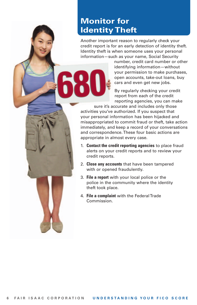## **Monitor for Identity Theft**

Another important reason to regularly check your credit report is for an early detection of identity theft. Identity theft is when someone uses your personal information—such as your name, Social Security

> number, credit card number or other identifying information—without your permission to make purchases, open accounts, take-out loans, buy cars and even get new jobs.

By regularly checking your credit report from each of the credit reporting agencies, you can make

sure it's accurate and includes only those activities you've authorized. If you suspect that your personal information has been hijacked and misappropriated to commit fraud or theft, take action immediately, and keep a record of your conversations and correspondence. These four basic actions are appropriate in almost every case.

- 1. **Contact the credit reporting agencies** to place fraud alerts on your credit reports and to review your credit reports.
- 2. **Close any accounts** that have been tampered with or opened fraudulently.
- 3. **File a report** with your local police or the police in the community where the identity theft took place.
- 4. **File a complaint** with the Federal Trade Commission.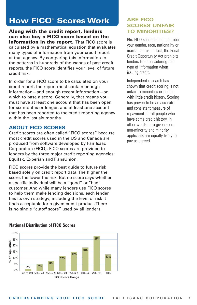## **How FICO® Scores Work**

**Along with the credit report, lenders can also buy a FICO score based on the information in the report.** That FICO score is calculated by a mathematical equation that evaluates many types of information from your credit report at that agency. By comparing this information to the patterns in hundreds of thousands of past credit reports, the FICO score identifies your level of future credit risk.

In order for a FICO score to be calculated on your credit report, the report must contain enough information—and enough recent information—on which to base a score. Generally, that means you must have at least one account that has been open for six months or longer, and at least one account that has been reported to the credit reporting agency within the last six months.

### **ABOUT FICO SCORES**

**National Distribution of FICO Scores**

Credit scores are often called "FICO scores" because most credit scores used in the US and Canada are produced from software developed by Fair Isaac Corporation (FICO). FICO scores are provided to lenders by the three major credit reporting agencies: Equifax, Experian and TransUnion.

FICO scores provide the best guide to future risk based solely on credit report data. The higher the score, the lower the risk. But no score says whether a specific individual will be a "good" or "bad" customer. And while many lenders use FICO scores to help them make lending decisions, each lender has its own strategy, including the level of risk it finds acceptable for a given credit product. There is no single "cutoff score" used by all lenders.



### **ARE FICO SCORES UNFAIR TO MINORITIES?**

**No.** FICO scores do not consider your gender, race, nationality or marital status. In fact, the Equal Credit Opportunity Act prohibits lenders from considering this type of information when issuing credit.

Independent research has shown that credit scoring is not unfair to minorities or people with little credit history. Scoring has proven to be an accurate and consistent measure of repayment for all people who have some credit history. In other words, at a given score, non-minority and minority applicants are equally likely to pay as agreed.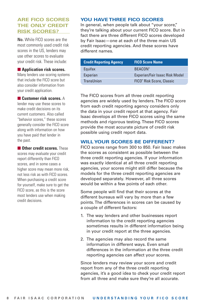### **ARE FICO SCORES THE ONLY CREDIT RISK SCORES?**

**No.** While FICO scores are the most commonly used credit risk scores in the US, lenders may use other scores to evaluate your credit risk. These include:

### ■ **Application risk scores.**

Many lenders use scoring systems that include the FICO score but also consider information from your credit application.

### ■ **Customer risk scores.** A

lender may use these scores to make credit decisions on its current customers. Also called "behavior scores," these scores generally consider the FICO score along with information on how you have paid that lender in the past.

■ Other credit scores. These scores may evaluate your credit report differently than FICO scores, and in some cases a higher score may mean more risk, not less risk as with FICO scores. When purchasing a credit score for yourself, make sure to get the FICO score, as this is the score most lenders use when making credit decisions.

### **YOU HAVE THREE FICO SCORES**

In general, when people talk about "your score," they're talking about your current FICO score. But in fact there are three different FICO scores developed by Fair Isaac—one at each of the three main US credit reporting agencies. And these scores have different names.

| <b>Credit Reporting Agency</b> | <b>FICO Score Name</b>                |
|--------------------------------|---------------------------------------|
| Equifax                        | <b>BEACON®</b>                        |
| Experian                       | Experian/Fair Isaac Risk Model        |
| TransUnion                     | FICO <sup>®</sup> Risk Score, Classic |

The FICO scores from all three credit reporting agencies are widely used by lenders. The FICO score from each credit reporting agency considers only the data in your credit report at that agency. Fair Isaac develops all three FICO scores using the same methods and rigorous testing. These FICO scores provide the most accurate picture of credit risk possible using credit report data.

### **WILL YOUR SCORES BE DIFFERENT?**

FICO scores range from 300 to 850. Fair Isaac makes the scores as consistent as possible between the three credit reporting agencies. If your information was exactly identical at all three credit reporting agencies, your scores might still differ because the models for the three credit reporting agencies are developed separately. However, all three scores would be within a few points of each other.

Some people will find that their scores at the different bureaus will vary by more than a few points. The differences in scores can be caused by a couple of different factors:

- 1. The way lenders and other businesses report information to the credit reporting agencies sometimes results in different information being in your credit report at the three agencies.
- 2. The agencies may also record the same information in different ways. Even small differences in the information at the three credit reporting agencies can affect your scores.

Since lenders may review your score and credit report from any of the three credit reporting agencies, it's a good idea to check your credit report from all three and make sure they're all accurate.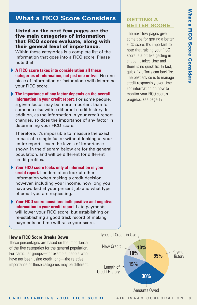# **a FICO S core Con sider s**

### **What a FICO Score Considers**

**Listed on the next few pages are the five main categories of information that FICO scores evaluate, along with their general level of importance.** 

Within these categories is a complete list of the information that goes into a FICO score. Please note that:

- **A FICO score takes into consideration all these categories of information, not just one or two.** No one piece of information or factor alone will determine your FICO score.
- **The importance of any factor depends on the overall information in your credit report.** For some people, a given factor may be more important than for someone else with a different credit history. In addition, as the information in your credit report changes, so does the importance of any factor in determining your FICO score.

Therefore, it's impossible to measure the exact impact of a single factor without looking at your entire report—even the levels of importance shown in the diagram below are for the general population, and will be different for different credit profiles.

- **Your FICO score looks only at information in your credit report.** Lenders often look at other information when making a credit decision, however, including your income, how long you have worked at your present job and what type of credit you are requesting.
- **Your FICO score considers both positive and negative information in your credit report.** Late payments will lower your FICO score, but establishing or re-establishing a good track record of making payments on time will raise your score.

### **How a FICO Score Breaks Down**

These percentages are based on the importance of the five categories for the general population. For particular groups—for example, people who have not been using credit long—the relative importance of these categories may be different.

### **GETTING A BETTER SCORE**

The next few pages give some tips for getting a better FICO score. It's important to note that raising your FICO score is a bit like getting in shape: It takes time and there is no quick fix. In fact, quick-fix efforts can backfire. The best advice is to manage credit responsibly over time. For information on how to monitor your FICO score's progress, see page 17.

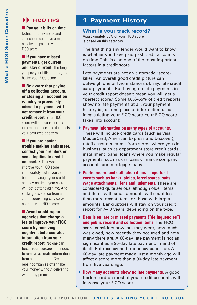### **FICO TIPS**

■ Pay your bills on time. Delinquent payments and collections can have a major negative impact on your FICO score.

■ **If you have missed payments, get current and stay current.** The longer you pay your bills on time, the better your FICO score.

■ **Be aware that paying off a collection account, or closing an account on which you previously missed a payment, will not remove it from your credit report.** Your FICO score will still consider this information, because it reflects your past credit pattern.

■ **If you are having trouble making ends meet, contact your creditors or see a legitimate credit counselor.** This won't improve your FICO score immediately, but if you can begin to manage your credit and pay on time, your score will get better over time. And seeking assistance from a credit counseling service will not hurt your FICO score.

■ **Avoid credit repair agencies that charge a fee to improve your FICO score by removing negative, but accurate, information from your credit report.** No one can force credit bureaus or lenders to remove accurate information from a credit report. Credit repair companies often take your money without delivering what they promise.

## **1. Payment History**

**What is your track record?** Approximately 35% of your FICO score is based on this category.

The first thing any lender would want to know is whether you have paid past credit accounts on time. This is also one of the most important factors in a credit score.

Late payments are not an automatic "scorekiller." An overall good credit picture can outweigh one or two instances of, say, late credit card payments. But having no late payments in your credit report doesn't mean you will get a "perfect score." Some 60%–65% of credit reports show no late payments at all. Your payment history is just one piece of information used in calculating your FICO score. Your FICO score takes into account:

- **Payment information on many types of accounts.** These will include credit cards (such as Visa, MasterCard, American Express and Discover), retail accounts (credit from stores where you do business, such as department store credit cards), installment loans (loans where you make regular payments, such as car loans), finance company accounts and mortgage loans.
- **Public record and collection items—reports of events such as bankruptcies, foreclosures, suits, wage attachments, liens and judgments.** These are considered quite serious, although older items and items with small amounts will count less than more recent items or those with larger amounts. Bankruptcies will stay on your credit report for 7–10 years, depending on the type.
- **Details on late or missed payments ("delinquencies") and public record and collection items.**The FICO score considers how late they were, how much was owed, how recently they occurred and how many there are. A 60-day late payment is not as significant as a 90-day late payment, in and of itself. But recency and frequency count too. A 60-day late payment made just a month ago will affect a score more than a 90-day late payment from five years ago.
- **How many accounts show no late payments.** A good track record on most of your credit accounts will increase your FICO score.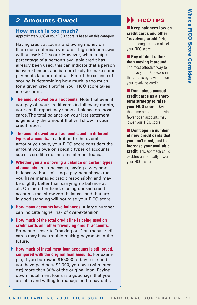## **What a FICO S core Con sider s**

## **2. Amounts Owed**

### **How much is too much?**

Approximately 30% of your FICO score is based on this category.

Having credit accounts and owing money on them does not mean you are a high-risk borrower with a low FICO score. However, when a high percentage of a person's available credit has already been used, this can indicate that a person is overextended, and is more likely to make some payments late or not at all. Part of the science of scoring is determining how much is too much for a given credit profile. Your FICO score takes into account:

- **The amount owed on all accounts.** Note that even if you pay off your credit cards in full every month, your credit report may show a balance on those cards. The total balance on your last statement is generally the amount that will show in your credit report.
- **The amount owed on all accounts, and on different types of accounts.** In addition to the overall amount you owe, your FICO score considers the amount you owe on specific types of accounts, such as credit cards and installment loans.
- **Whether you are showing a balance on certain types of accounts.** In some cases, having a very small balance without missing a payment shows that you have managed credit responsibly, and may be slightly better than carrying no balance at all. On the other hand, closing unused credit accounts that show zero balances and that are in good standing will not raise your FICO score.
- **How many accounts have balances.** A large number can indicate higher risk of over-extension.
- **How much of the total credit line is being used on credit cards and other "revolving credit" accounts.** Someone closer to "maxing out" on many credit cards may have trouble making payments in the future.
- **How much of installment loan accounts is still owed, compared with the original loan amounts.** For example, if you borrowed \$10,000 to buy a car and you have paid back \$2,000, you owe (with interest) more than 80% of the original loan. Paying down installment loans is a good sign that you are able and willing to manage and repay debt.

## **FICO TIPS**

■ **Keep balances low on credit cards and other "revolving credit."** High outstanding debt can affect your FICO score.

■ Pay off debt rather **than moving it around.**

The most effective way to improve your FICO score in this area is by paying down your revolving credit.

■ **Don't close unused credit cards as a shortterm strategy to raise your FICO score.** Owing the same amount but having fewer open accounts may lower your FICO score.

■ **Don't open a number of new credit cards that you don't need, just to increase your available credit.** This approach could backfire and actually lower your FICO score.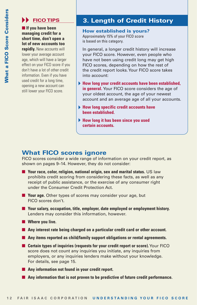### **EXAMPLE FICO TIPS**

■ If you have been **managing credit for a short time, don't open a lot of new accounts too**

**rapidly.** New accounts will lower your average account age, which will have a larger effect on your FICO score if you don't have a lot of other credit information. Even if you have used credit for a long time, opening a new account can still lower your FICO score.

## **3. Length of Credit History**

**How established is yours?** Approximately 15% of your FICO score is based on this category.

In general, a longer credit history will increase your FICO score. However, even people who have not been using credit long may get high FICO scores, depending on how the rest of the credit report looks. Your FICO score takes into account:

- **How long your credit accounts have been established, in general.** Your FICO score considers the age of your oldest account, the age of your newest account and an average age of all your accounts.
- **How long specific credit accounts have been established.**
- **How long it has been since you used certain accounts.**

### **What FICO scores ignore**

FICO scores consider a wide range of information on your credit report, as shown on pages 9–14. However, they do not consider:

- Your race, color, religion, national origin, sex and marital status. US law prohibits credit scoring from considering these facts, as well as any receipt of public assistance, or the exercise of any consumer right under the Consumer Credit Protection Act.
- **Your age.** Other types of scores may consider your age, but FICO scores don't.
- Your salary, occupation, title, employer, date employed or employment history. Lenders may consider this information, however.
- Where you live.
- Any interest rate being charged on a particular credit card or other account.
- Any items reported as child/family support obligations or rental agreements.
- **12 FAIR IS NEW TO SCOTE STATE CORPORATION** INTEGRATION CONTINUES TO THE STATE IS A FAIR IS A CORPORATION U POLICY CORPORATION CONTINUES.<br> **12 FAIR IS ARE CORPORATION** U N D AND ISSUE OF THE STATE IS A FAIR IS A FAIR IS A ■ **Certain types of inquiries (requests for your credit report or score).** Your FICO score does not count any inquiries you initiate, any inquiries from employers, or any inquiries lenders make without your knowledge. For details, see page 15.
	- Any information not found in your credit report.
	- Any information that is not proven to be predictive of future credit performance.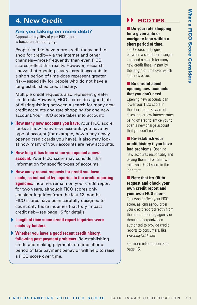## **a FICO S core Con sider s**

### **4. New Credit**

#### **Are you taking on more debt?** Approximately 10% of your FICO score is based on this category.

People tend to have more credit today and to shop for credit—via the internet and other channels—more frequently than ever. FICO scores reflect this reality. However, research shows that opening several credit accounts in a short period of time does represent greater risk—especially for people who do not have a long established credit history.

Multiple credit requests also represent greater credit risk. However, FICO scores do a good job of distinguishing between a search for many new credit accounts and rate shopping for one new account. Your FICO score takes into account:

- **How many new accounts you have.**Your FICO score looks at how many new accounts you have by type of account (for example, how many newly opened credit cards you have). It also may look at how many of your accounts are new accounts.
- **How long it has been since you opened a new account.** Your FICO score may consider this information for specific types of accounts.
- **EXAMELY CYCLUS CONSULT AND CYCLUS CONSULT AND A STAR ON A STAR ON A STAR ON A STAR ON A STAR ON A STAR ON A STAR ON A STAR ON A STAR ON A STAR ON A STAR ON A STAR ON A STAR ON A STAR ON A STAR ON A STAR ON A STAR ON A ST How many recent requests for credit you have made, as indicated by inquiries to the credit reporting agencies.** Inquiries remain on your credit report for two years, although FICO scores only consider inquiries from the last 12 months. FICO scores have been carefully designed to count only those inquiries that truly impact credit risk—see page 15 for details.
- **Length of time since credit report inquiries were made by lenders.**
- **Whether you have a good recent credit history, following past payment problems.** Re-establishing credit and making payments on time after a period of late payment behavior will help to raise a FICO score over time.

## **EXAMPLE**

### ■ **Do your rate shopping for a given auto or mortgage loan within a short period of time.** FICO scores distinguish

between a search for a single loan and a search for many new credit lines, in part by the length of time over which inquiries occur.

### ■ **Be careful about opening new accounts that you don't need.**

Opening new accounts can lower your FICO score in the short term. Beware of discounts or low interest rates being offered to entice you to open a new charge account that you don't need.

■ **Re-establish your credit history if you have had problems.** Opening new accounts responsibly and paying them off on time will raise your FICO score in the long term.

### ■ **Note that it's OK to request and check your own credit report and your own FICO score.**

This won't affect your FICO score, as long as you order your credit report directly from the credit reporting agency or through an organization authorized to provide credit reports to consumers, like www.myFICO.com.

For more information, see page 15.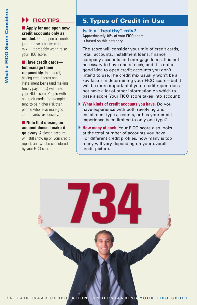### **FICO TIPS**

### ■ **Apply for and open new credit accounts only as**

**needed.** Don't open accounts just to have a better credit mix— it probably won't raise your FICO score.

### ■ **Have credit cards but manage them responsibly.** In general,

having credit cards and installment loans (and making timely payments) will raise your FICO score. People with no credit cards, for example, tend to be higher risk than people who have managed credit cards responsibly.

■ **Note that closing an account doesn't make it go away.** A closed account will still show up on your credit report, and will be considered by your FICO score.

## **5.Types of Credit in Use**

### **Is it a "healthy" mix?**

Approximately 10% of your FICO score is based on this category.

The score will consider your mix of credit cards, retail accounts, installment loans, finance company accounts and mortgage loans. It is not necessary to have one of each, and it is not a good idea to open credit accounts you don't intend to use. The credit mix usually won't be a key factor in determining your FICO score—but it will be more important if your credit report does not have a lot of other information on which to base a score.Your FICO score takes into account:

- **What kinds of credit accounts you have.** Do you have experience with both revolving and installment type accounts, or has your credit experience been limited to only one type?
- **How many of each.** Your FICO score also looks at the total number of accounts you have. For different credit profiles, how many is too many will vary depending on your overall credit picture.

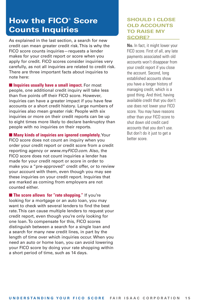## **How the FICO® Score Counts Inquiries**

As explained in the last section, a search for new credit can mean greater credit risk. This is why the FICO score counts inquiries—requests a lender makes for your credit report or score when you apply for credit. FICO scores consider inquiries very carefully, as not all inquiries are related to credit risk. There are three important facts about inquiries to note here:

■ **Inquiries usually have a small impact.** For most people, one additional credit inquiry will take less than five points off their FICO score. However, inquiries can have a greater impact if you have few accounts or a short credit history. Large numbers of inquiries also mean greater risk: People with six inquiries or more on their credit reports can be up to eight times more likely to declare bankruptcy than people with no inquiries on their reports.

■ **Many kinds of inquiries are ignored completely.** Your FICO score does not count an inquiry when you order your credit report or credit score from a credit reporting agency or www.myFICO.com. Also, the FICO score does not count inquiries a lender has made for your credit report or score in order to make you a "pre-approved" credit offer, or to review your account with them, even though you may see these inquiries on your credit report. Inquiries that are marked as coming from employers are not counted either.

■ **The score allows for "rate shopping."** If you're looking for a mortgage or an auto loan, you may want to check with several lenders to find the best rate. This can cause multiple lenders to request your credit report, even though you're only looking for one loan. To compensate for this, FICO scores distinguish between a search for a single loan and a search for many new credit lines, in part by the length of time over which inquiries occur. When you need an auto or home loan, you can avoid lowering your FICO score by doing your rate shopping within a short period of time, such as 14 days.

### **SHOULD I CLOSE OLD ACCOUNTS TO RAISE MY SCORE?**

**No.** In fact, it might lower your FICO score. First of all, any late payments associated with old accounts won't disappear from your credit report if you close the account. Second, long established accounts show you have a longer history of managing credit, which is a good thing. And third, having available credit that you don't use does not lower your FICO score. You may have reasons other than your FICO score to shut down old credit card accounts that you don't use. But don't do it just to get a better score.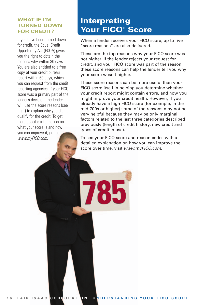### **WHAT IF I'M TURNED DOWN FOR CREDIT?**

If you have been turned down for credit, the Equal Credit Opportunity Act (ECOA) gives you the right to obtain the reasons why within 30 days. You are also entitled to a free copy of your credit bureau report within 60 days, which you can request from the credit reporting agencies. If your FICO score was a primary part of the lender's decision, the lender will use the score reasons (see right) to explain why you didn't qualify for the credit. To get more specific information on what your score is and how you can improve it, go to www.myFICO.com.

## **Interpreting Your FICO® Score**

When a lender receives your FICO score, up to five "score reasons" are also delivered.

These are the top reasons why your FICO score was not higher. If the lender rejects your request for credit, and your FICO score was part of the reason, these score reasons can help the lender tell you why your score wasn't higher.

These score reasons can be more useful than your FICO score itself in helping you determine whether your credit report might contain errors, and how you might improve your credit health. However, if you already have a high FICO score (for example, in the mid-700s or higher) some of the reasons may not be very helpful because they may be only marginal factors related to the last three categories described previously (length of credit history, new credit and types of credit in use).

To see your FICO score and reason codes with a detailed explanation on how you can improve the score over time, visit www.myFICO.com.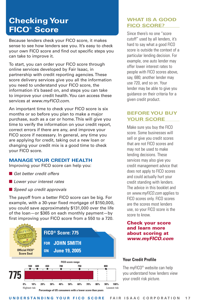## **Checking Your FICO® Score**

Because lenders check your FICO score, it makes sense to see how lenders see you. It's easy to check your own FICO score and find out specific steps you can take to improve it.

To start, you can order your FICO score through online services developed by Fair Isaac, in partnership with credit reporting agencies. These score delivery services give you all the information you need to understand your FICO score, the information it's based on, and steps you can take to improve your credit health. You can access these services at www.mvFICO.com.

An important time to check your FICO score is six months or so before you plan to make a major purchase, such as a car or home. This will give you time to verify the information on your credit report, correct errors if there are any, and improve your FICO score if necessary. In general, any time you are applying for credit, taking out a new loan or changing your credit mix is a good time to check your FICO score.

### **MANAGE YOUR CREDIT HEALTH**

Improving your FICO score can help you:

- Get better credit offers
- Lower your interest rates
- Speed up credit approvals

The payoff from a better FICO score can be big. For example, with a 30-year fixed mortgage of \$150,000, you could save approximately \$131,000 over the life of the loan—or \$365 on each monthly payment—by first improving your FICO score from a 550 to a 720.



### **WHAT IS A GOOD FICO SCORE?**

Since there's no one "score cutoff" used by all lenders, it's hard to say what a good FICO score is outside the context of a particular lending decision. For example, one auto lender may offer lower interest rates to people with FICO scores above, say, 680; another lender may use 720, and so on. Your lender may be able to give you guidance on their criteria for a given credit product.

### **BEFORE YOU BUY YOUR SCORE**

Make sure you buy the FICO score. Some businesses will sell or give you credit scores that are not FICO scores and may not be used to make lending decisions. These services may also give you credit management advice that does not apply to FICO scores and could actually hurt your credit standing with lenders. The advice in this booklet and on www.myFICO.com applies to FICO scores only. FICO scores are the scores most lenders use, so your FICO score is the score to know.

### **Check your score and learn more about scoring at www.myFICO.com**

### **Your Credit Profile**

The myFICO® website can help you understand how lenders view your credit risk picture.